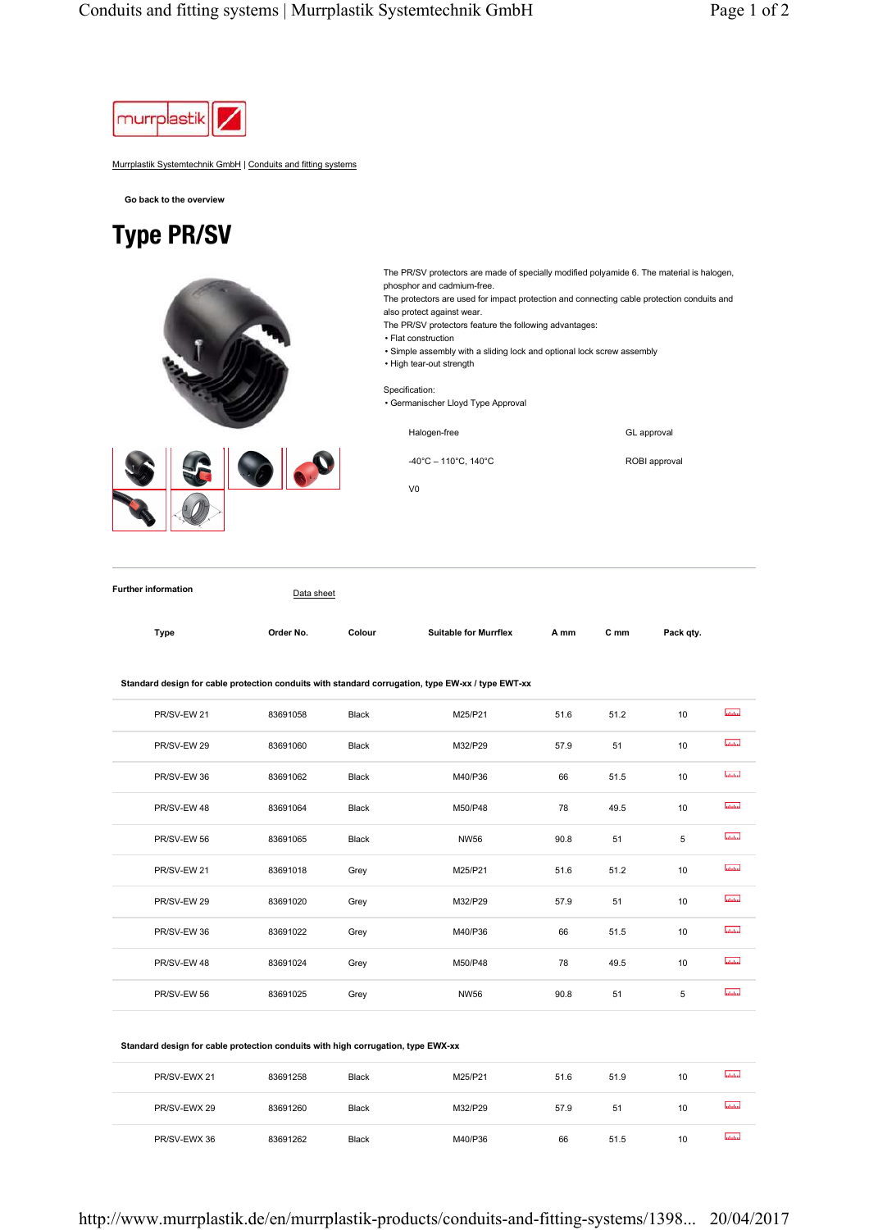

Murrplastik Systemtechnik GmbH | Conduits and fitting systems

**Go back to the overview**

## Type PR/SV

The PR/SV protectors are made of specially modified polyamide 6. The material is halogen, phosphor and cadmium-free. The protectors are used for impact protection and connecting cable protection conduits and also protect against wear. The PR/SV protectors feature the following advantages: • Flat construction • Simple assembly with a sliding lock and optional lock screw assembly • High tear-out strength Specification: • Germanischer Lloyd Type Approval Halogen-free GL approval 3.9 -40°C – 110°C, 140°C ROBI approval V0

**Further information** Data sheet

| Type | Order No. | Colour | <b>Suitable for Murrflex</b> | A mm | C mm | Pack qty. |
|------|-----------|--------|------------------------------|------|------|-----------|

**Standard design for cable protection conduits with standard corrugation, type EW-xx / type EWT-xx** 

| PR/SV-EW 21 | 83691058 | Black        | M25/P21     | 51.6 | 51.2 | 10 | atata.          |
|-------------|----------|--------------|-------------|------|------|----|-----------------|
| PR/SV-EW 29 | 83691060 | Black        | M32/P29     | 57.9 | 51   | 10 | <b>Infuline</b> |
| PR/SV-EW 36 | 83691062 | <b>Black</b> | M40/P36     | 66   | 51.5 | 10 | latatan         |
| PR/SV-EW 48 | 83691064 | Black        | M50/P48     | 78   | 49.5 | 10 | abdaha          |
| PR/SV-EW 56 | 83691065 | Black        | <b>NW56</b> | 90.8 | 51   | 5  | abdulos         |
| PR/SV-EW 21 | 83691018 | Grey         | M25/P21     | 51.6 | 51.2 | 10 | abdu            |
| PR/SV-EW 29 | 83691020 | Grey         | M32/P29     | 57.9 | 51   | 10 | <b>utubu</b>    |
| PR/SV-EW 36 | 83691022 | Grey         | M40/P36     | 66   | 51.5 | 10 | atata.          |
| PR/SV-EW 48 | 83691024 | Grey         | M50/P48     | 78   | 49.5 | 10 | abdan           |
| PR/SV-EW 56 | 83691025 | Grey         | <b>NW56</b> | 90.8 | 51   | 5  | <b>Infuline</b> |
|             |          |              |             |      |      |    |                 |

| Standard design for cable protection conduits with high corrugation, type EWX-xx |          |              |         |      |      |    |            |  |  |
|----------------------------------------------------------------------------------|----------|--------------|---------|------|------|----|------------|--|--|
| PR/SV-EWX 21                                                                     | 83691258 | <b>Black</b> | M25/P21 | 51.6 | 51.9 | 10 | abilities. |  |  |
| PR/SV-EWX 29                                                                     | 83691260 | <b>Black</b> | M32/P29 | 57.9 | 51   | 10 | لستستسأ    |  |  |
| PR/SV-EWX 36                                                                     | 83691262 | Black        | M40/P36 | 66   | 51.5 | 10 | Intutur    |  |  |